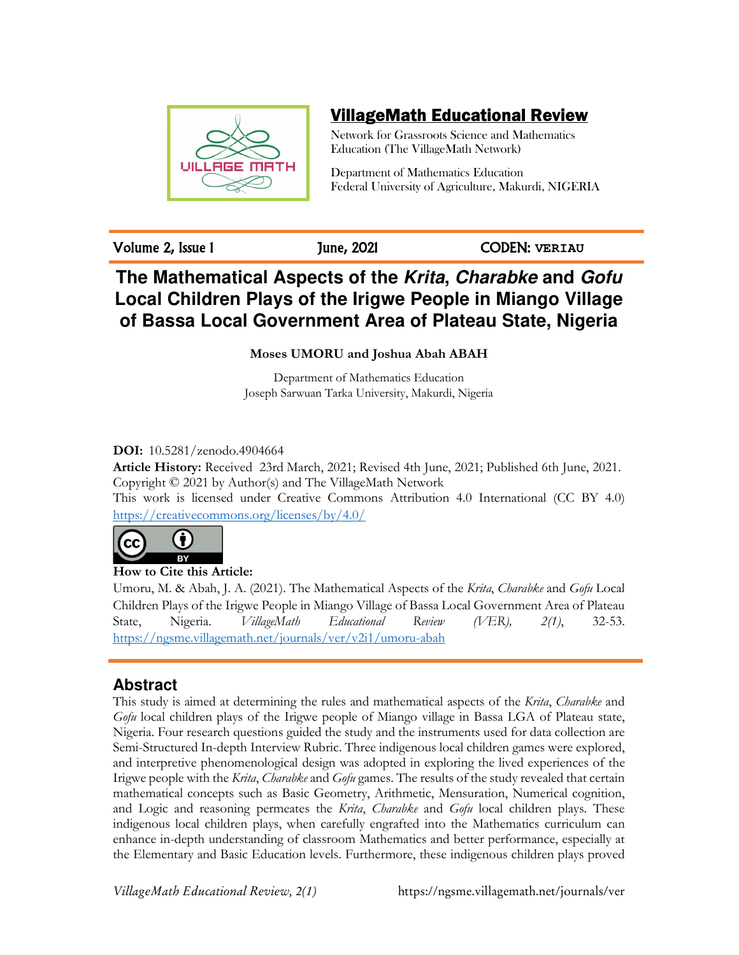

# VillageMath Educational Review

Network for Grassroots Science and Mathematics Education (The VillageMath Network)

Department of Mathematics Education Federal University of Agriculture, Makurdi, NIGERIA

Volume 2, Issue 1 June, 2021 CODEN: **VERIAU**

# **The Mathematical Aspects of the Krita, Charabke and Gofu Local Children Plays of the Irigwe People in Miango Village of Bassa Local Government Area of Plateau State, Nigeria**

**Moses UMORU and Joshua Abah ABAH** 

Department of Mathematics Education Joseph Sarwuan Tarka University, Makurdi, Nigeria

# **DOI:** 10.5281/zenodo.4904664

**Article History:** Received 23rd March, 2021; Revised 4th June, 2021; Published 6th June, 2021. Copyright © 2021 by Author(s) and The VillageMath Network This work is licensed under Creative Commons Attribution 4.0 International (CC BY 4.0) https://creativecommons.org/licenses/by/4.0/



 $cc$ **How to Cite this Article:** 

Umoru, M. & Abah, J. A. (2021). The Mathematical Aspects of the *Krita*, *Charabke* and *Gofu* Local Children Plays of the Irigwe People in Miango Village of Bassa Local Government Area of Plateau State, Nigeria. *VillageMath Educational Review (VER), 2(1)*, 32-53. https://ngsme.villagemath.net/journals/ver/v2i1/umoru-abah

# **Abstract**

This study is aimed at determining the rules and mathematical aspects of the *Krita*, *Charabke* and *Gofu* local children plays of the Irigwe people of Miango village in Bassa LGA of Plateau state, Nigeria. Four research questions guided the study and the instruments used for data collection are Semi-Structured In-depth Interview Rubric. Three indigenous local children games were explored, and interpretive phenomenological design was adopted in exploring the lived experiences of the Irigwe people with the *Krita*, *Charabke* and *Gofu* games. The results of the study revealed that certain mathematical concepts such as Basic Geometry, Arithmetic, Mensuration, Numerical cognition, and Logic and reasoning permeates the *Krita*, *Charabke* and *Gofu* local children plays. These indigenous local children plays, when carefully engrafted into the Mathematics curriculum can enhance in-depth understanding of classroom Mathematics and better performance, especially at the Elementary and Basic Education levels. Furthermore, these indigenous children plays proved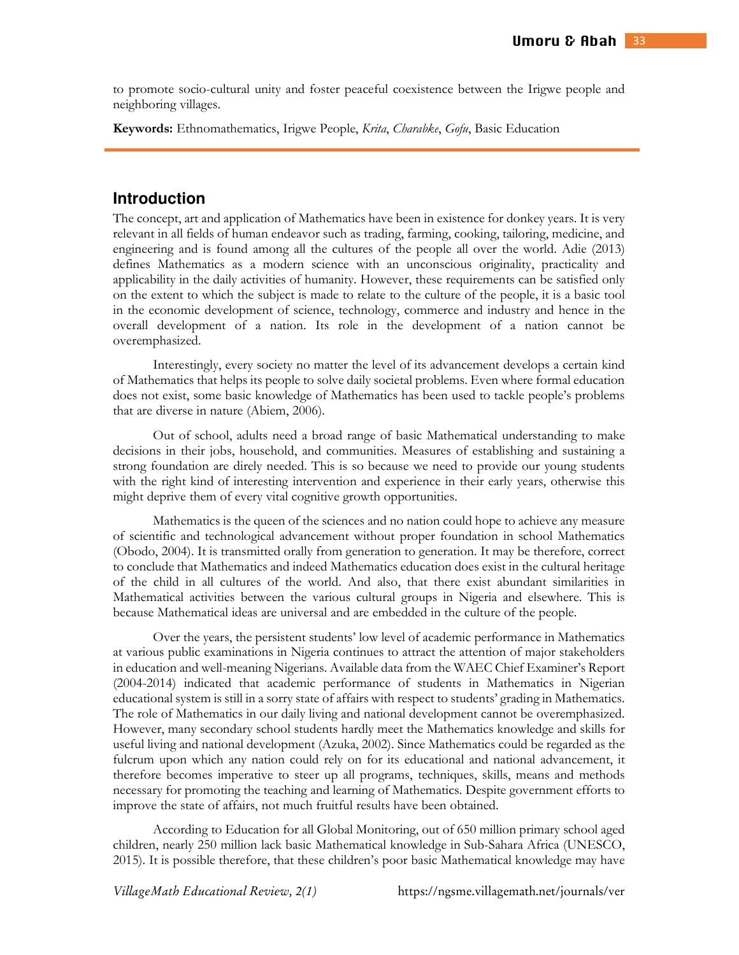to promote socio-cultural unity and foster peaceful coexistence between the Irigwe people and neighboring villages.

**Keywords:** Ethnomathematics, Irigwe People, *Krita*, *Charabke*, *Gofu*, Basic Education

### **Introduction**

The concept, art and application of Mathematics have been in existence for donkey years. It is very relevant in all fields of human endeavor such as trading, farming, cooking, tailoring, medicine, and engineering and is found among all the cultures of the people all over the world. Adie (2013) defines Mathematics as a modern science with an unconscious originality, practicality and applicability in the daily activities of humanity. However, these requirements can be satisfied only on the extent to which the subject is made to relate to the culture of the people, it is a basic tool in the economic development of science, technology, commerce and industry and hence in the overall development of a nation. Its role in the development of a nation cannot be overemphasized.

Interestingly, every society no matter the level of its advancement develops a certain kind of Mathematics that helps its people to solve daily societal problems. Even where formal education does not exist, some basic knowledge of Mathematics has been used to tackle people's problems that are diverse in nature (Abiem, 2006).

Out of school, adults need a broad range of basic Mathematical understanding to make decisions in their jobs, household, and communities. Measures of establishing and sustaining a strong foundation are direly needed. This is so because we need to provide our young students with the right kind of interesting intervention and experience in their early years, otherwise this might deprive them of every vital cognitive growth opportunities.

Mathematics is the queen of the sciences and no nation could hope to achieve any measure of scientific and technological advancement without proper foundation in school Mathematics (Obodo, 2004). It is transmitted orally from generation to generation. It may be therefore, correct to conclude that Mathematics and indeed Mathematics education does exist in the cultural heritage of the child in all cultures of the world. And also, that there exist abundant similarities in Mathematical activities between the various cultural groups in Nigeria and elsewhere. This is because Mathematical ideas are universal and are embedded in the culture of the people.

Over the years, the persistent students' low level of academic performance in Mathematics at various public examinations in Nigeria continues to attract the attention of major stakeholders in education and well-meaning Nigerians. Available data from the WAEC Chief Examiner's Report (2004-2014) indicated that academic performance of students in Mathematics in Nigerian educational system is still in a sorry state of affairs with respect to students' grading in Mathematics. The role of Mathematics in our daily living and national development cannot be overemphasized. However, many secondary school students hardly meet the Mathematics knowledge and skills for useful living and national development (Azuka, 2002). Since Mathematics could be regarded as the fulcrum upon which any nation could rely on for its educational and national advancement, it therefore becomes imperative to steer up all programs, techniques, skills, means and methods necessary for promoting the teaching and learning of Mathematics. Despite government efforts to improve the state of affairs, not much fruitful results have been obtained.

According to Education for all Global Monitoring, out of 650 million primary school aged children, nearly 250 million lack basic Mathematical knowledge in Sub-Sahara Africa (UNESCO, 2015). It is possible therefore, that these children's poor basic Mathematical knowledge may have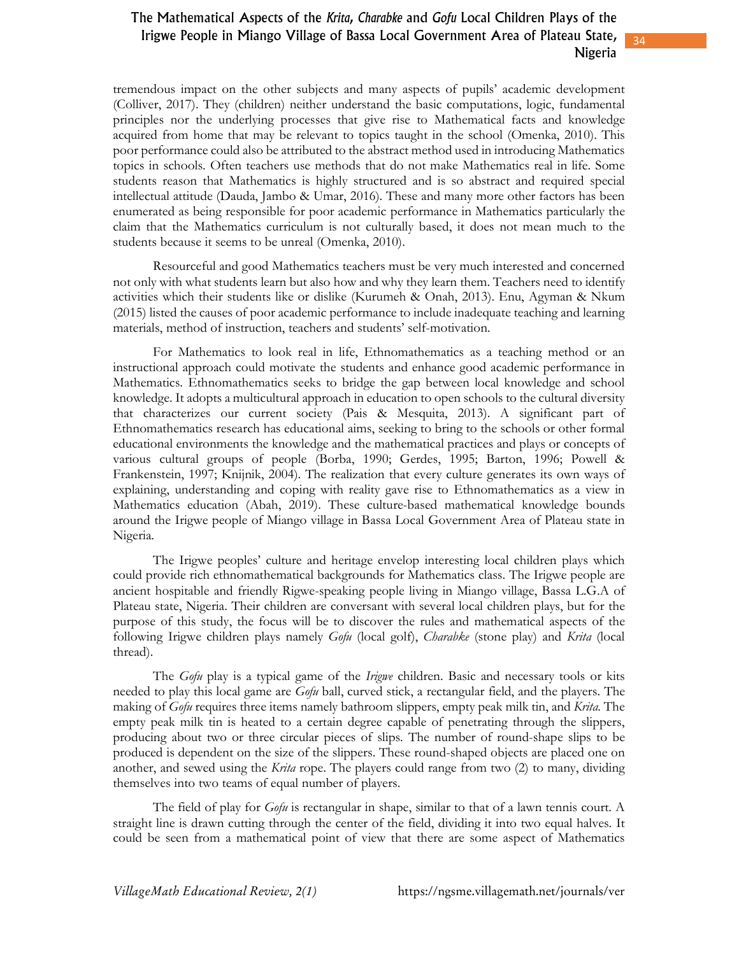34

tremendous impact on the other subjects and many aspects of pupils' academic development (Colliver, 2017). They (children) neither understand the basic computations, logic, fundamental principles nor the underlying processes that give rise to Mathematical facts and knowledge acquired from home that may be relevant to topics taught in the school (Omenka, 2010). This poor performance could also be attributed to the abstract method used in introducing Mathematics topics in schools. Often teachers use methods that do not make Mathematics real in life. Some students reason that Mathematics is highly structured and is so abstract and required special intellectual attitude (Dauda, Jambo & Umar, 2016). These and many more other factors has been enumerated as being responsible for poor academic performance in Mathematics particularly the claim that the Mathematics curriculum is not culturally based, it does not mean much to the students because it seems to be unreal (Omenka, 2010).

Resourceful and good Mathematics teachers must be very much interested and concerned not only with what students learn but also how and why they learn them. Teachers need to identify activities which their students like or dislike (Kurumeh & Onah, 2013). Enu, Agyman & Nkum (2015) listed the causes of poor academic performance to include inadequate teaching and learning materials, method of instruction, teachers and students' self-motivation.

For Mathematics to look real in life, Ethnomathematics as a teaching method or an instructional approach could motivate the students and enhance good academic performance in Mathematics. Ethnomathematics seeks to bridge the gap between local knowledge and school knowledge. It adopts a multicultural approach in education to open schools to the cultural diversity that characterizes our current society (Pais & Mesquita, 2013). A significant part of Ethnomathematics research has educational aims, seeking to bring to the schools or other formal educational environments the knowledge and the mathematical practices and plays or concepts of various cultural groups of people (Borba, 1990; Gerdes, 1995; Barton, 1996; Powell & Frankenstein, 1997; Knijnik, 2004). The realization that every culture generates its own ways of explaining, understanding and coping with reality gave rise to Ethnomathematics as a view in Mathematics education (Abah, 2019). These culture-based mathematical knowledge bounds around the Irigwe people of Miango village in Bassa Local Government Area of Plateau state in Nigeria.

The Irigwe peoples' culture and heritage envelop interesting local children plays which could provide rich ethnomathematical backgrounds for Mathematics class. The Irigwe people are ancient hospitable and friendly Rigwe-speaking people living in Miango village, Bassa L.G.A of Plateau state, Nigeria. Their children are conversant with several local children plays, but for the purpose of this study, the focus will be to discover the rules and mathematical aspects of the following Irigwe children plays namely *Gofu* (local golf), *Charabke* (stone play) and *Krita* (local thread).

The *Gofu* play is a typical game of the *Irigwe* children. Basic and necessary tools or kits needed to play this local game are *Gofu* ball, curved stick, a rectangular field, and the players. The making of *Gofu* requires three items namely bathroom slippers, empty peak milk tin, and *Krita.* The empty peak milk tin is heated to a certain degree capable of penetrating through the slippers, producing about two or three circular pieces of slips. The number of round-shape slips to be produced is dependent on the size of the slippers. These round-shaped objects are placed one on another, and sewed using the *Krita* rope. The players could range from two (2) to many, dividing themselves into two teams of equal number of players.

The field of play for *Gofu* is rectangular in shape, similar to that of a lawn tennis court. A straight line is drawn cutting through the center of the field, dividing it into two equal halves. It could be seen from a mathematical point of view that there are some aspect of Mathematics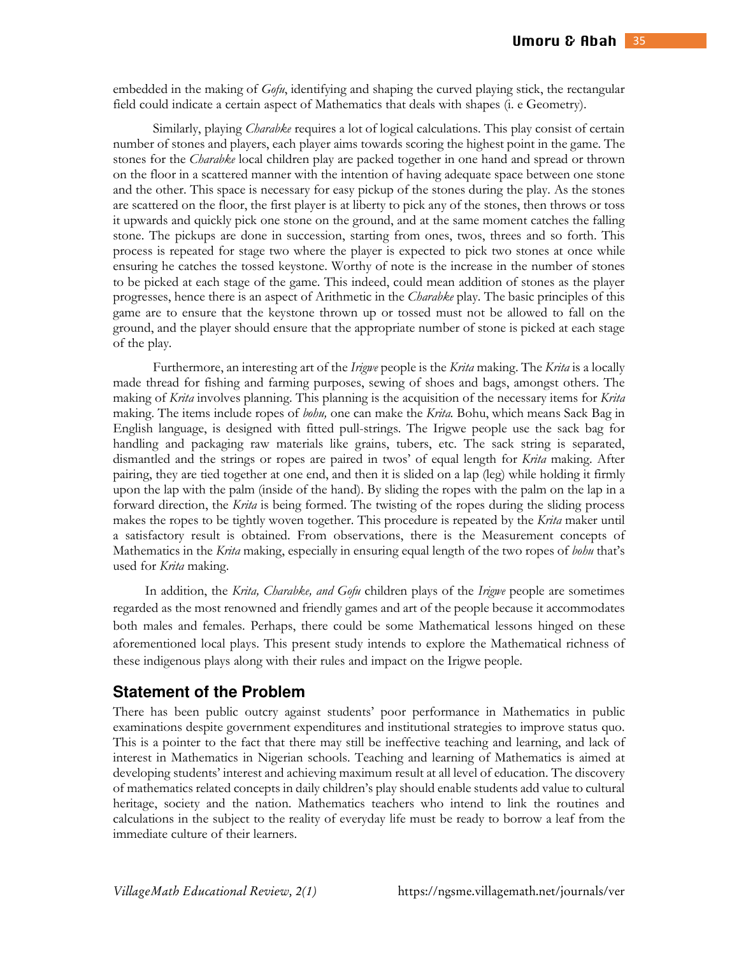embedded in the making of *Gofu*, identifying and shaping the curved playing stick, the rectangular field could indicate a certain aspect of Mathematics that deals with shapes (i. e Geometry).

Similarly, playing *Charabke* requires a lot of logical calculations. This play consist of certain number of stones and players, each player aims towards scoring the highest point in the game. The stones for the *Charabke* local children play are packed together in one hand and spread or thrown on the floor in a scattered manner with the intention of having adequate space between one stone and the other. This space is necessary for easy pickup of the stones during the play. As the stones are scattered on the floor, the first player is at liberty to pick any of the stones, then throws or toss it upwards and quickly pick one stone on the ground, and at the same moment catches the falling stone. The pickups are done in succession, starting from ones, twos, threes and so forth. This process is repeated for stage two where the player is expected to pick two stones at once while ensuring he catches the tossed keystone. Worthy of note is the increase in the number of stones to be picked at each stage of the game. This indeed, could mean addition of stones as the player progresses, hence there is an aspect of Arithmetic in the *Charabke* play. The basic principles of this game are to ensure that the keystone thrown up or tossed must not be allowed to fall on the ground, and the player should ensure that the appropriate number of stone is picked at each stage of the play.

Furthermore, an interesting art of the *Irigwe* people is the *Krita* making. The *Krita* is a locally made thread for fishing and farming purposes, sewing of shoes and bags, amongst others. The making of *Krita* involves planning. This planning is the acquisition of the necessary items for *Krita*  making. The items include ropes of *bohu,* one can make the *Krita.* Bohu, which means Sack Bag in English language, is designed with fitted pull-strings. The Irigwe people use the sack bag for handling and packaging raw materials like grains, tubers, etc. The sack string is separated, dismantled and the strings or ropes are paired in twos' of equal length for *Krita* making. After pairing, they are tied together at one end, and then it is slided on a lap (leg) while holding it firmly upon the lap with the palm (inside of the hand). By sliding the ropes with the palm on the lap in a forward direction, the *Krita* is being formed. The twisting of the ropes during the sliding process makes the ropes to be tightly woven together. This procedure is repeated by the *Krita* maker until a satisfactory result is obtained. From observations, there is the Measurement concepts of Mathematics in the *Krita* making, especially in ensuring equal length of the two ropes of *bohu* that's used for *Krita* making.

In addition, the *Krita, Charabke, and Gofu* children plays of the *Irigwe* people are sometimes regarded as the most renowned and friendly games and art of the people because it accommodates both males and females. Perhaps, there could be some Mathematical lessons hinged on these aforementioned local plays. This present study intends to explore the Mathematical richness of these indigenous plays along with their rules and impact on the Irigwe people.

### **Statement of the Problem**

There has been public outcry against students' poor performance in Mathematics in public examinations despite government expenditures and institutional strategies to improve status quo. This is a pointer to the fact that there may still be ineffective teaching and learning, and lack of interest in Mathematics in Nigerian schools. Teaching and learning of Mathematics is aimed at developing students' interest and achieving maximum result at all level of education. The discovery of mathematics related concepts in daily children's play should enable students add value to cultural heritage, society and the nation. Mathematics teachers who intend to link the routines and calculations in the subject to the reality of everyday life must be ready to borrow a leaf from the immediate culture of their learners.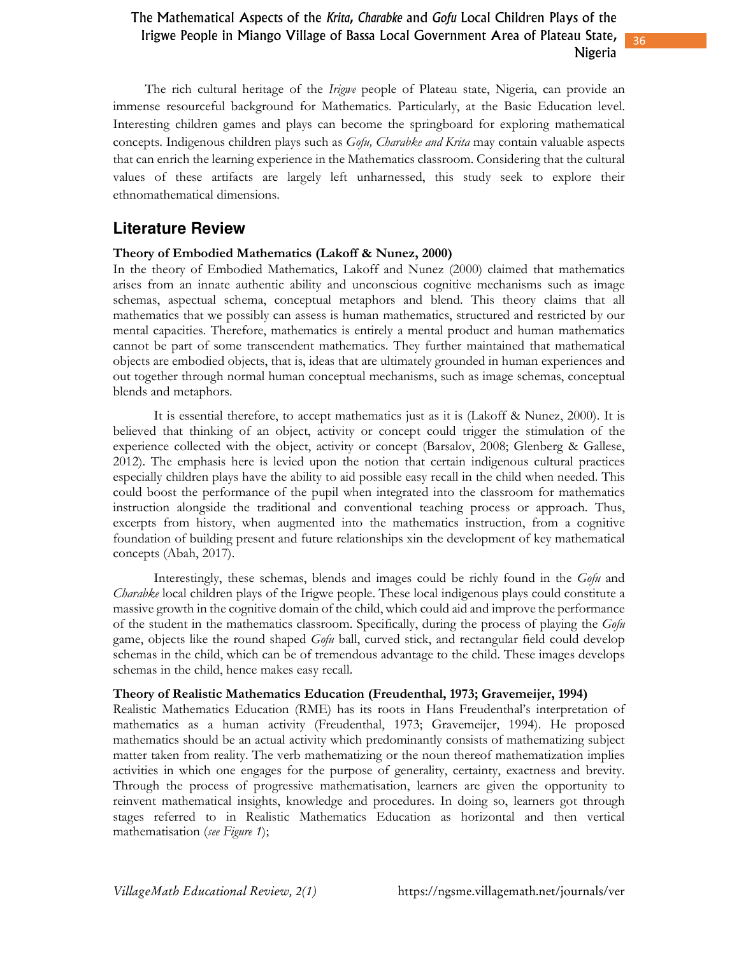36

The rich cultural heritage of the *Irigwe* people of Plateau state, Nigeria, can provide an immense resourceful background for Mathematics. Particularly, at the Basic Education level. Interesting children games and plays can become the springboard for exploring mathematical concepts. Indigenous children plays such as *Gofu, Charabke and Krita* may contain valuable aspects that can enrich the learning experience in the Mathematics classroom. Considering that the cultural values of these artifacts are largely left unharnessed, this study seek to explore their ethnomathematical dimensions.

## **Literature Review**

### **Theory of Embodied Mathematics (Lakoff & Nunez, 2000)**

In the theory of Embodied Mathematics, Lakoff and Nunez (2000) claimed that mathematics arises from an innate authentic ability and unconscious cognitive mechanisms such as image schemas, aspectual schema, conceptual metaphors and blend. This theory claims that all mathematics that we possibly can assess is human mathematics, structured and restricted by our mental capacities. Therefore, mathematics is entirely a mental product and human mathematics cannot be part of some transcendent mathematics. They further maintained that mathematical objects are embodied objects, that is, ideas that are ultimately grounded in human experiences and out together through normal human conceptual mechanisms, such as image schemas, conceptual blends and metaphors.

It is essential therefore, to accept mathematics just as it is (Lakoff & Nunez, 2000). It is believed that thinking of an object, activity or concept could trigger the stimulation of the experience collected with the object, activity or concept (Barsalov, 2008; Glenberg & Gallese, 2012). The emphasis here is levied upon the notion that certain indigenous cultural practices especially children plays have the ability to aid possible easy recall in the child when needed. This could boost the performance of the pupil when integrated into the classroom for mathematics instruction alongside the traditional and conventional teaching process or approach. Thus, excerpts from history, when augmented into the mathematics instruction, from a cognitive foundation of building present and future relationships xin the development of key mathematical concepts (Abah, 2017).

Interestingly, these schemas, blends and images could be richly found in the *Gofu* and *Charabke* local children plays of the Irigwe people. These local indigenous plays could constitute a massive growth in the cognitive domain of the child, which could aid and improve the performance of the student in the mathematics classroom. Specifically, during the process of playing the *Gofu* game, objects like the round shaped *Gofu* ball, curved stick, and rectangular field could develop schemas in the child, which can be of tremendous advantage to the child. These images develops schemas in the child, hence makes easy recall.

#### **Theory of Realistic Mathematics Education (Freudenthal, 1973; Gravemeijer, 1994)**

Realistic Mathematics Education (RME) has its roots in Hans Freudenthal's interpretation of mathematics as a human activity (Freudenthal, 1973; Gravemeijer, 1994). He proposed mathematics should be an actual activity which predominantly consists of mathematizing subject matter taken from reality. The verb mathematizing or the noun thereof mathematization implies activities in which one engages for the purpose of generality, certainty, exactness and brevity. Through the process of progressive mathematisation, learners are given the opportunity to reinvent mathematical insights, knowledge and procedures. In doing so, learners got through stages referred to in Realistic Mathematics Education as horizontal and then vertical mathematisation (*see Figure 1*);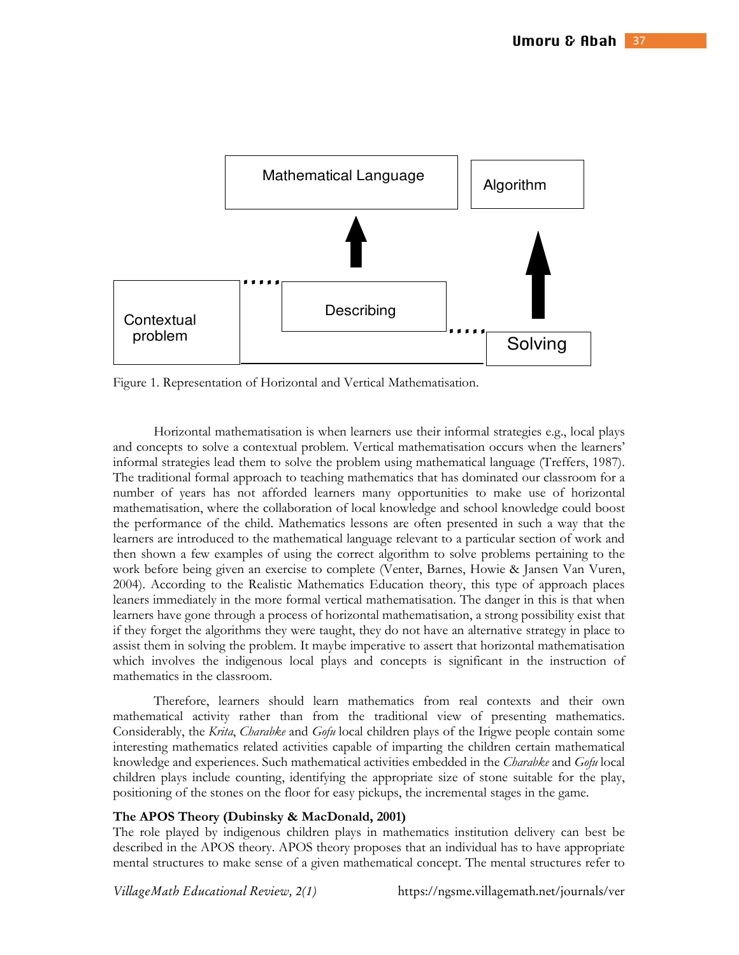

Figure 1. Representation of Horizontal and Vertical Mathematisation.

Horizontal mathematisation is when learners use their informal strategies e.g., local plays and concepts to solve a contextual problem. Vertical mathematisation occurs when the learners' informal strategies lead them to solve the problem using mathematical language (Treffers, 1987). The traditional formal approach to teaching mathematics that has dominated our classroom for a number of years has not afforded learners many opportunities to make use of horizontal mathematisation, where the collaboration of local knowledge and school knowledge could boost the performance of the child. Mathematics lessons are often presented in such a way that the learners are introduced to the mathematical language relevant to a particular section of work and then shown a few examples of using the correct algorithm to solve problems pertaining to the work before being given an exercise to complete (Venter, Barnes, Howie & Jansen Van Vuren, 2004). According to the Realistic Mathematics Education theory, this type of approach places leaners immediately in the more formal vertical mathematisation. The danger in this is that when learners have gone through a process of horizontal mathematisation, a strong possibility exist that if they forget the algorithms they were taught, they do not have an alternative strategy in place to assist them in solving the problem. It maybe imperative to assert that horizontal mathematisation which involves the indigenous local plays and concepts is significant in the instruction of mathematics in the classroom.

Therefore, learners should learn mathematics from real contexts and their own mathematical activity rather than from the traditional view of presenting mathematics. Considerably, the *Krita*, *Charabke* and *Gofu* local children plays of the Irigwe people contain some interesting mathematics related activities capable of imparting the children certain mathematical knowledge and experiences. Such mathematical activities embedded in the *Charabke* and *Gofu* local children plays include counting, identifying the appropriate size of stone suitable for the play, positioning of the stones on the floor for easy pickups, the incremental stages in the game.

#### **The APOS Theory (Dubinsky & MacDonald, 2001)**

The role played by indigenous children plays in mathematics institution delivery can best be described in the APOS theory. APOS theory proposes that an individual has to have appropriate mental structures to make sense of a given mathematical concept. The mental structures refer to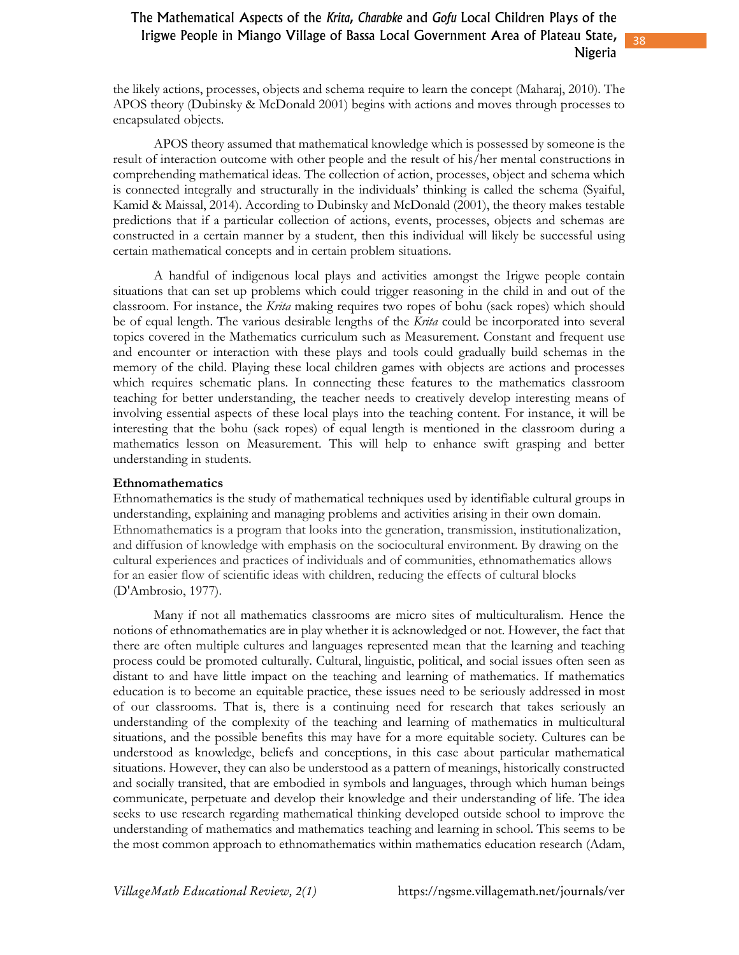38

the likely actions, processes, objects and schema require to learn the concept (Maharaj, 2010). The APOS theory (Dubinsky & McDonald 2001) begins with actions and moves through processes to encapsulated objects.

APOS theory assumed that mathematical knowledge which is possessed by someone is the result of interaction outcome with other people and the result of his/her mental constructions in comprehending mathematical ideas. The collection of action, processes, object and schema which is connected integrally and structurally in the individuals' thinking is called the schema (Syaiful, Kamid & Maissal, 2014). According to Dubinsky and McDonald (2001), the theory makes testable predictions that if a particular collection of actions, events, processes, objects and schemas are constructed in a certain manner by a student, then this individual will likely be successful using certain mathematical concepts and in certain problem situations.

A handful of indigenous local plays and activities amongst the Irigwe people contain situations that can set up problems which could trigger reasoning in the child in and out of the classroom. For instance, the *Krita* making requires two ropes of bohu (sack ropes) which should be of equal length. The various desirable lengths of the *Krita* could be incorporated into several topics covered in the Mathematics curriculum such as Measurement. Constant and frequent use and encounter or interaction with these plays and tools could gradually build schemas in the memory of the child. Playing these local children games with objects are actions and processes which requires schematic plans. In connecting these features to the mathematics classroom teaching for better understanding, the teacher needs to creatively develop interesting means of involving essential aspects of these local plays into the teaching content. For instance, it will be interesting that the bohu (sack ropes) of equal length is mentioned in the classroom during a mathematics lesson on Measurement. This will help to enhance swift grasping and better understanding in students.

#### **Ethnomathematics**

Ethnomathematics is the study of mathematical techniques used by identifiable cultural groups in understanding, explaining and managing problems and activities arising in their own domain. Ethnomathematics is a program that looks into the generation, transmission, institutionalization, and diffusion of knowledge with emphasis on the sociocultural environment. By drawing on the cultural experiences and practices of individuals and of communities, ethnomathematics allows for an easier flow of scientific ideas with children, reducing the effects of cultural blocks (D'Ambrosio, 1977).

Many if not all mathematics classrooms are micro sites of multiculturalism. Hence the notions of ethnomathematics are in play whether it is acknowledged or not. However, the fact that there are often multiple cultures and languages represented mean that the learning and teaching process could be promoted culturally. Cultural, linguistic, political, and social issues often seen as distant to and have little impact on the teaching and learning of mathematics. If mathematics education is to become an equitable practice, these issues need to be seriously addressed in most of our classrooms. That is, there is a continuing need for research that takes seriously an understanding of the complexity of the teaching and learning of mathematics in multicultural situations, and the possible benefits this may have for a more equitable society. Cultures can be understood as knowledge, beliefs and conceptions, in this case about particular mathematical situations. However, they can also be understood as a pattern of meanings, historically constructed and socially transited, that are embodied in symbols and languages, through which human beings communicate, perpetuate and develop their knowledge and their understanding of life. The idea seeks to use research regarding mathematical thinking developed outside school to improve the understanding of mathematics and mathematics teaching and learning in school. This seems to be the most common approach to ethnomathematics within mathematics education research (Adam,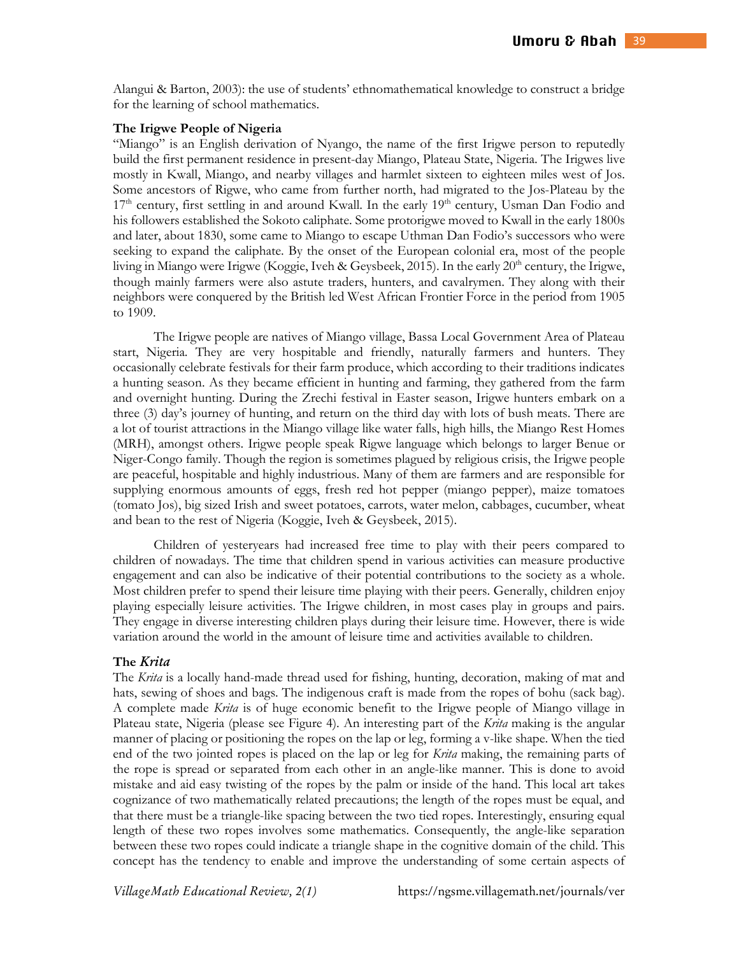Alangui & Barton, 2003): the use of students' ethnomathematical knowledge to construct a bridge for the learning of school mathematics.

#### **The Irigwe People of Nigeria**

"Miango" is an English derivation of Nyango, the name of the first Irigwe person to reputedly build the first permanent residence in present-day Miango, Plateau State, Nigeria. The Irigwes live mostly in Kwall, Miango, and nearby villages and harmlet sixteen to eighteen miles west of Jos. Some ancestors of Rigwe, who came from further north, had migrated to the Jos-Plateau by the 17<sup>th</sup> century, first settling in and around Kwall. In the early 19<sup>th</sup> century, Usman Dan Fodio and his followers established the Sokoto caliphate. Some protorigwe moved to Kwall in the early 1800s and later, about 1830, some came to Miango to escape Uthman Dan Fodio's successors who were seeking to expand the caliphate. By the onset of the European colonial era, most of the people living in Miango were Irigwe (Koggie, Iveh & Geysbeek, 2015). In the early 20<sup>th</sup> century, the Irigwe, though mainly farmers were also astute traders, hunters, and cavalrymen. They along with their neighbors were conquered by the British led West African Frontier Force in the period from 1905 to 1909.

The Irigwe people are natives of Miango village, Bassa Local Government Area of Plateau start, Nigeria. They are very hospitable and friendly, naturally farmers and hunters. They occasionally celebrate festivals for their farm produce, which according to their traditions indicates a hunting season. As they became efficient in hunting and farming, they gathered from the farm and overnight hunting. During the Zrechi festival in Easter season, Irigwe hunters embark on a three (3) day's journey of hunting, and return on the third day with lots of bush meats. There are a lot of tourist attractions in the Miango village like water falls, high hills, the Miango Rest Homes (MRH), amongst others. Irigwe people speak Rigwe language which belongs to larger Benue or Niger-Congo family. Though the region is sometimes plagued by religious crisis, the Irigwe people are peaceful, hospitable and highly industrious. Many of them are farmers and are responsible for supplying enormous amounts of eggs, fresh red hot pepper (miango pepper), maize tomatoes (tomato Jos), big sized Irish and sweet potatoes, carrots, water melon, cabbages, cucumber, wheat and bean to the rest of Nigeria (Koggie, Iveh & Geysbeek, 2015).

Children of yesteryears had increased free time to play with their peers compared to children of nowadays. The time that children spend in various activities can measure productive engagement and can also be indicative of their potential contributions to the society as a whole. Most children prefer to spend their leisure time playing with their peers. Generally, children enjoy playing especially leisure activities. The Irigwe children, in most cases play in groups and pairs. They engage in diverse interesting children plays during their leisure time. However, there is wide variation around the world in the amount of leisure time and activities available to children.

#### **The** *rita*

The *Krita* is a locally hand-made thread used for fishing, hunting, decoration, making of mat and hats, sewing of shoes and bags. The indigenous craft is made from the ropes of bohu (sack bag). A complete made *Krita* is of huge economic benefit to the Irigwe people of Miango village in Plateau state, Nigeria (please see Figure 4). An interesting part of the *Krita* making is the angular manner of placing or positioning the ropes on the lap or leg, forming a v-like shape. When the tied end of the two jointed ropes is placed on the lap or leg for *Krita* making, the remaining parts of the rope is spread or separated from each other in an angle-like manner. This is done to avoid mistake and aid easy twisting of the ropes by the palm or inside of the hand. This local art takes cognizance of two mathematically related precautions; the length of the ropes must be equal, and that there must be a triangle-like spacing between the two tied ropes. Interestingly, ensuring equal length of these two ropes involves some mathematics. Consequently, the angle-like separation between these two ropes could indicate a triangle shape in the cognitive domain of the child. This concept has the tendency to enable and improve the understanding of some certain aspects of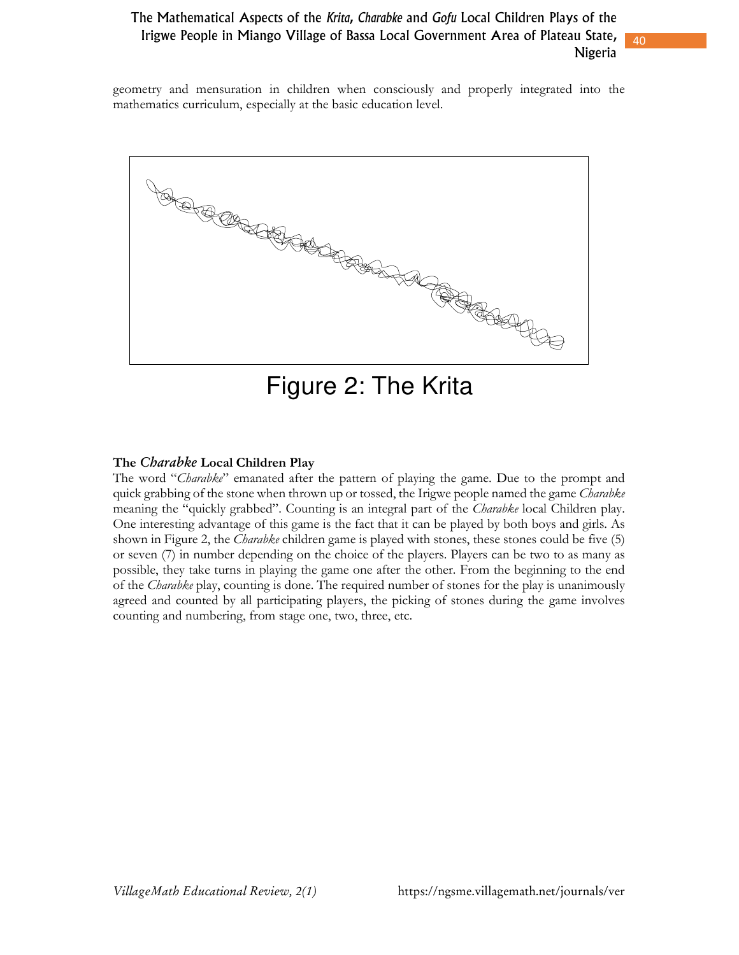40

geometry and mensuration in children when consciously and properly integrated into the mathematics curriculum, especially at the basic education level.



Figure 2: The Krita

### **The** *Charab e* **Local Children Play**

The word "*Charabke*" emanated after the pattern of playing the game. Due to the prompt and quick grabbing of the stone when thrown up or tossed, the Irigwe people named the game *Charabke* meaning the "quickly grabbed". Counting is an integral part of the *Charabke* local Children play. One interesting advantage of this game is the fact that it can be played by both boys and girls. As shown in Figure 2, the *Charabke* children game is played with stones, these stones could be five (5) or seven (7) in number depending on the choice of the players. Players can be two to as many as possible, they take turns in playing the game one after the other. From the beginning to the end of the *Charabke* play, counting is done. The required number of stones for the play is unanimously agreed and counted by all participating players, the picking of stones during the game involves counting and numbering, from stage one, two, three, etc.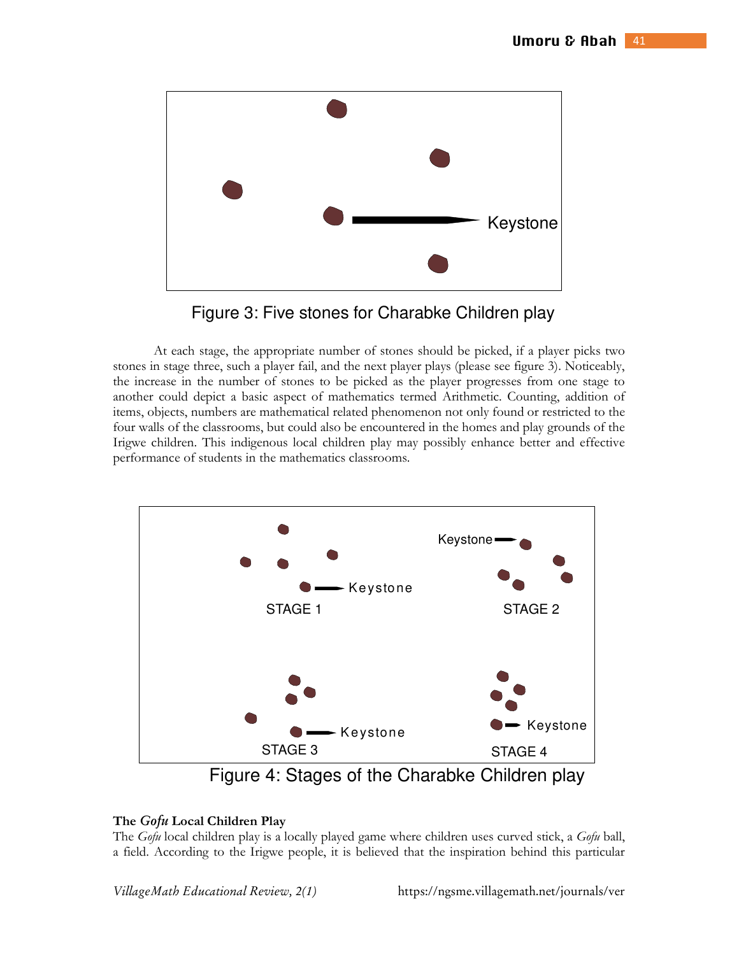

Figure 3: Five stones for Charabke Children play

At each stage, the appropriate number of stones should be picked, if a player picks two stones in stage three, such a player fail, and the next player plays (please see figure 3). Noticeably, the increase in the number of stones to be picked as the player progresses from one stage to another could depict a basic aspect of mathematics termed Arithmetic. Counting, addition of items, objects, numbers are mathematical related phenomenon not only found or restricted to the four walls of the classrooms, but could also be encountered in the homes and play grounds of the Irigwe children. This indigenous local children play may possibly enhance better and effective performance of students in the mathematics classrooms.



Figure 4: Stages of the Charabke Children play

### **The** *Gfu* **Local Children Play**

The *Gofu* local children play is a locally played game where children uses curved stick, a *Gofu* ball, a field. According to the Irigwe people, it is believed that the inspiration behind this particular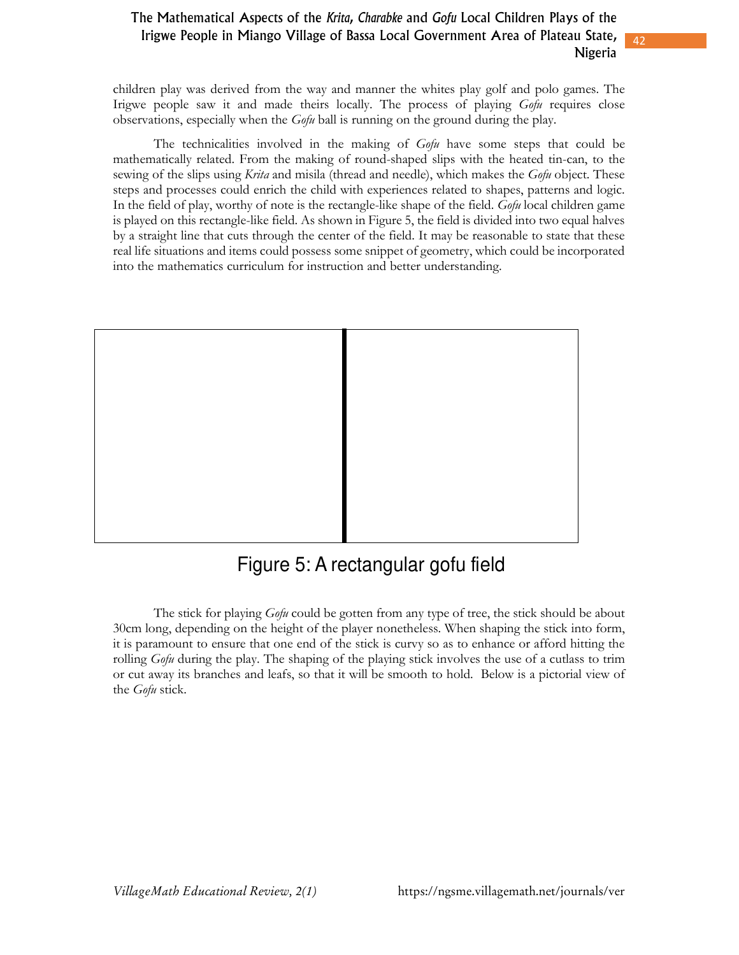42

children play was derived from the way and manner the whites play golf and polo games. The Irigwe people saw it and made theirs locally. The process of playing *Gofu* requires close observations, especially when the *Gofu* ball is running on the ground during the play.

The technicalities involved in the making of *Gofu* have some steps that could be mathematically related. From the making of round-shaped slips with the heated tin-can, to the sewing of the slips using *Krita* and misila (thread and needle), which makes the *Gofu* object. These steps and processes could enrich the child with experiences related to shapes, patterns and logic. In the field of play, worthy of note is the rectangle-like shape of the field. *Gofu* local children game is played on this rectangle-like field. As shown in Figure 5, the field is divided into two equal halves by a straight line that cuts through the center of the field. It may be reasonable to state that these real life situations and items could possess some snippet of geometry, which could be incorporated into the mathematics curriculum for instruction and better understanding.



# Figure 5: A rectangular gofu field

The stick for playing *Gofu* could be gotten from any type of tree, the stick should be about 30cm long, depending on the height of the player nonetheless. When shaping the stick into form, it is paramount to ensure that one end of the stick is curvy so as to enhance or afford hitting the rolling *Gofu* during the play. The shaping of the playing stick involves the use of a cutlass to trim or cut away its branches and leafs, so that it will be smooth to hold. Below is a pictorial view of the *Gofu* stick.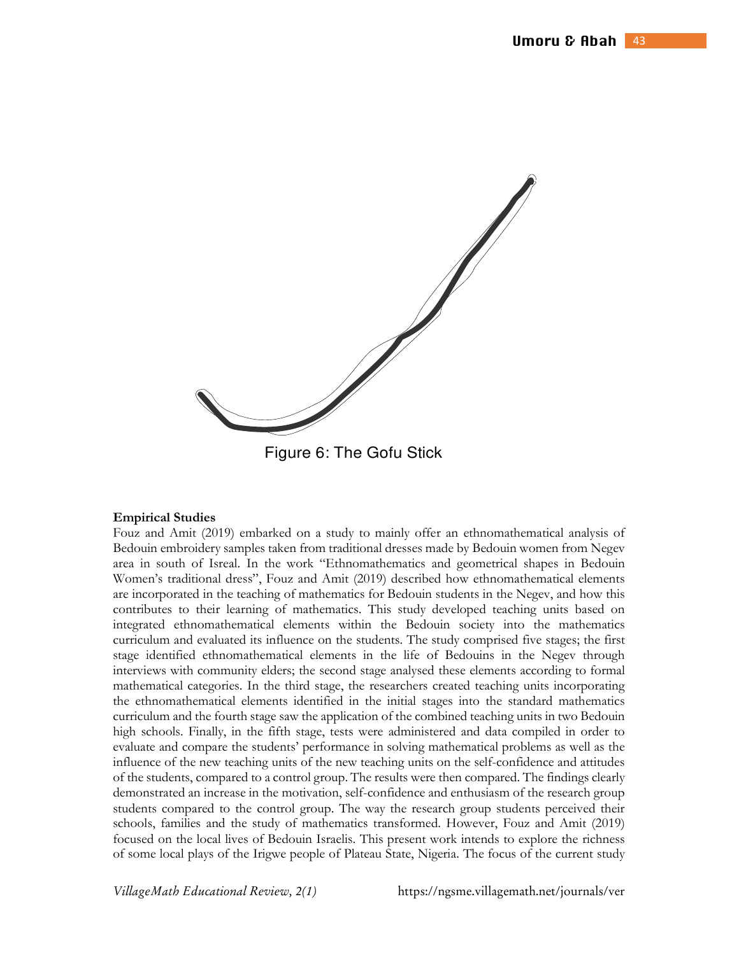

Figure 6: The Gofu Stick

#### **Empirical Studies**

Fouz and Amit (2019) embarked on a study to mainly offer an ethnomathematical analysis of Bedouin embroidery samples taken from traditional dresses made by Bedouin women from Negev area in south of Isreal. In the work "Ethnomathematics and geometrical shapes in Bedouin Women's traditional dress", Fouz and Amit (2019) described how ethnomathematical elements are incorporated in the teaching of mathematics for Bedouin students in the Negev, and how this contributes to their learning of mathematics. This study developed teaching units based on integrated ethnomathematical elements within the Bedouin society into the mathematics curriculum and evaluated its influence on the students. The study comprised five stages; the first stage identified ethnomathematical elements in the life of Bedouins in the Negev through interviews with community elders; the second stage analysed these elements according to formal mathematical categories. In the third stage, the researchers created teaching units incorporating the ethnomathematical elements identified in the initial stages into the standard mathematics curriculum and the fourth stage saw the application of the combined teaching units in two Bedouin high schools. Finally, in the fifth stage, tests were administered and data compiled in order to evaluate and compare the students' performance in solving mathematical problems as well as the influence of the new teaching units of the new teaching units on the self-confidence and attitudes of the students, compared to a control group. The results were then compared. The findings clearly demonstrated an increase in the motivation, self-confidence and enthusiasm of the research group students compared to the control group. The way the research group students perceived their schools, families and the study of mathematics transformed. However, Fouz and Amit (2019) focused on the local lives of Bedouin Israelis. This present work intends to explore the richness of some local plays of the Irigwe people of Plateau State, Nigeria. The focus of the current study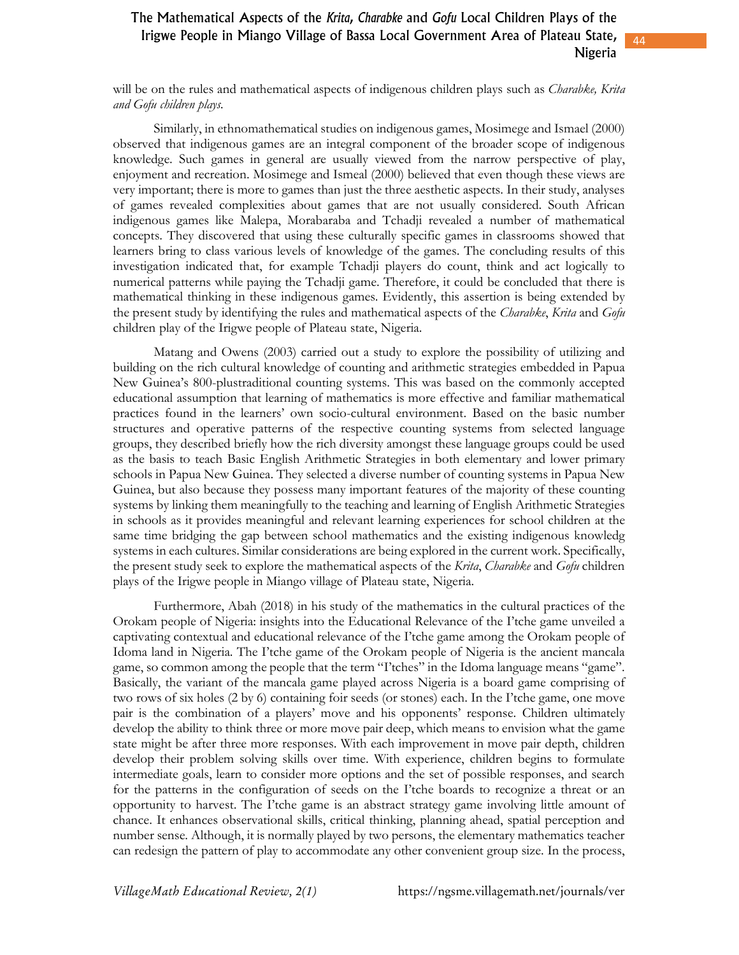44

will be on the rules and mathematical aspects of indigenous children plays such as *Charabke, Krita and Gofu children plays.* 

Similarly, in ethnomathematical studies on indigenous games, Mosimege and Ismael (2000) observed that indigenous games are an integral component of the broader scope of indigenous knowledge. Such games in general are usually viewed from the narrow perspective of play, enjoyment and recreation. Mosimege and Ismeal (2000) believed that even though these views are very important; there is more to games than just the three aesthetic aspects. In their study, analyses of games revealed complexities about games that are not usually considered. South African indigenous games like Malepa, Morabaraba and Tchadji revealed a number of mathematical concepts. They discovered that using these culturally specific games in classrooms showed that learners bring to class various levels of knowledge of the games. The concluding results of this investigation indicated that, for example Tchadji players do count, think and act logically to numerical patterns while paying the Tchadji game. Therefore, it could be concluded that there is mathematical thinking in these indigenous games. Evidently, this assertion is being extended by the present study by identifying the rules and mathematical aspects of the *Charabke*, *Krita* and *Gofu* children play of the Irigwe people of Plateau state, Nigeria.

Matang and Owens (2003) carried out a study to explore the possibility of utilizing and building on the rich cultural knowledge of counting and arithmetic strategies embedded in Papua New Guinea's 800-plustraditional counting systems. This was based on the commonly accepted educational assumption that learning of mathematics is more effective and familiar mathematical practices found in the learners' own socio-cultural environment. Based on the basic number structures and operative patterns of the respective counting systems from selected language groups, they described briefly how the rich diversity amongst these language groups could be used as the basis to teach Basic English Arithmetic Strategies in both elementary and lower primary schools in Papua New Guinea. They selected a diverse number of counting systems in Papua New Guinea, but also because they possess many important features of the majority of these counting systems by linking them meaningfully to the teaching and learning of English Arithmetic Strategies in schools as it provides meaningful and relevant learning experiences for school children at the same time bridging the gap between school mathematics and the existing indigenous knowledg systems in each cultures. Similar considerations are being explored in the current work. Specifically, the present study seek to explore the mathematical aspects of the *Krita*, *Charabke* and *Gofu* children plays of the Irigwe people in Miango village of Plateau state, Nigeria.

Furthermore, Abah (2018) in his study of the mathematics in the cultural practices of the Orokam people of Nigeria: insights into the Educational Relevance of the I'tche game unveiled a captivating contextual and educational relevance of the I'tche game among the Orokam people of Idoma land in Nigeria. The I'tche game of the Orokam people of Nigeria is the ancient mancala game, so common among the people that the term "I'tches" in the Idoma language means "game". Basically, the variant of the mancala game played across Nigeria is a board game comprising of two rows of six holes (2 by 6) containing foir seeds (or stones) each. In the I'tche game, one move pair is the combination of a players' move and his opponents' response. Children ultimately develop the ability to think three or more move pair deep, which means to envision what the game state might be after three more responses. With each improvement in move pair depth, children develop their problem solving skills over time. With experience, children begins to formulate intermediate goals, learn to consider more options and the set of possible responses, and search for the patterns in the configuration of seeds on the I'tche boards to recognize a threat or an opportunity to harvest. The I'tche game is an abstract strategy game involving little amount of chance. It enhances observational skills, critical thinking, planning ahead, spatial perception and number sense. Although, it is normally played by two persons, the elementary mathematics teacher can redesign the pattern of play to accommodate any other convenient group size. In the process,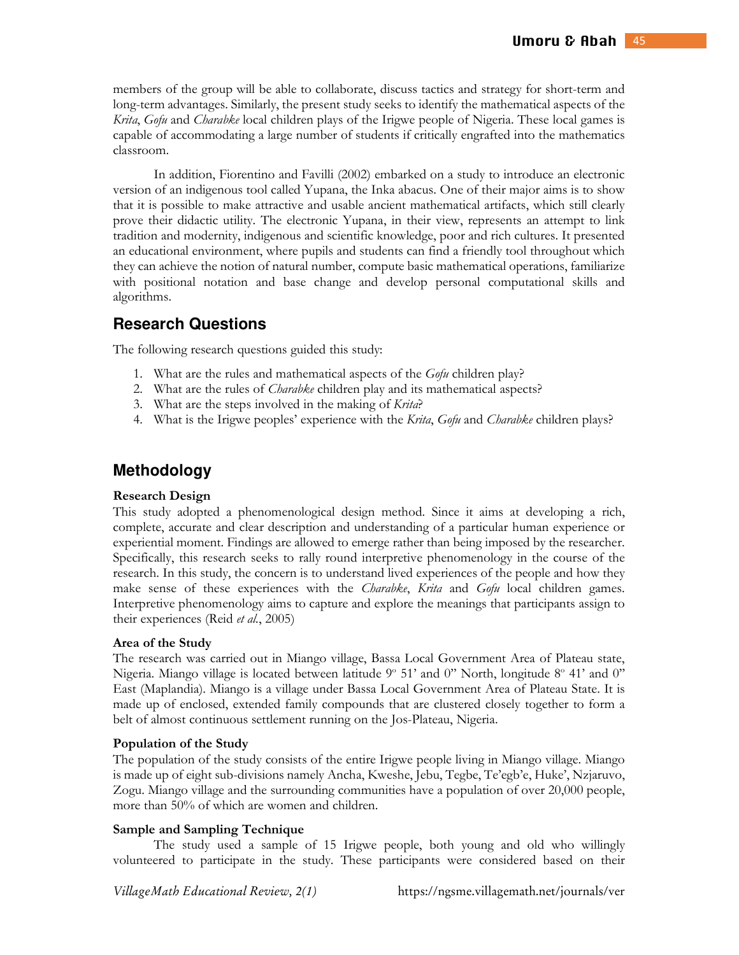members of the group will be able to collaborate, discuss tactics and strategy for short-term and long-term advantages. Similarly, the present study seeks to identify the mathematical aspects of the *Krita*, *Gofu* and *Charabke* local children plays of the Irigwe people of Nigeria. These local games is capable of accommodating a large number of students if critically engrafted into the mathematics classroom.

In addition, Fiorentino and Favilli (2002) embarked on a study to introduce an electronic version of an indigenous tool called Yupana, the Inka abacus. One of their major aims is to show that it is possible to make attractive and usable ancient mathematical artifacts, which still clearly prove their didactic utility. The electronic Yupana, in their view, represents an attempt to link tradition and modernity, indigenous and scientific knowledge, poor and rich cultures. It presented an educational environment, where pupils and students can find a friendly tool throughout which they can achieve the notion of natural number, compute basic mathematical operations, familiarize with positional notation and base change and develop personal computational skills and algorithms.

## **Research Questions**

The following research questions guided this study:

- 1. What are the rules and mathematical aspects of the *Gofu* children play?
- 2. What are the rules of *Charabke* children play and its mathematical aspects?
- 3. What are the steps involved in the making of *Krita*?
- 4. What is the Irigwe peoples' experience with the *Krita*, *Gofu* and *Charabke* children plays?

### **Methodology**

#### **Research Design**

This study adopted a phenomenological design method. Since it aims at developing a rich, complete, accurate and clear description and understanding of a particular human experience or experiential moment. Findings are allowed to emerge rather than being imposed by the researcher. Specifically, this research seeks to rally round interpretive phenomenology in the course of the research. In this study, the concern is to understand lived experiences of the people and how they make sense of these experiences with the *Charabke*, *Krita* and *Gofu* local children games. Interpretive phenomenology aims to capture and explore the meanings that participants assign to their experiences (Reid *et al.*, 2005)

### **Area of the Study**

The research was carried out in Miango village, Bassa Local Government Area of Plateau state, Nigeria. Miango village is located between latitude 9° 51' and 0" North, longitude 8° 41' and 0" East (Maplandia). Miango is a village under Bassa Local Government Area of Plateau State. It is made up of enclosed, extended family compounds that are clustered closely together to form a belt of almost continuous settlement running on the Jos-Plateau, Nigeria.

#### **Population of the Study**

The population of the study consists of the entire Irigwe people living in Miango village. Miango is made up of eight sub-divisions namely Ancha, Kweshe, Jebu, Tegbe, Te'egb'e, Huke', Nzjaruvo, Zogu. Miango village and the surrounding communities have a population of over 20,000 people, more than 50% of which are women and children.

#### **Sample and Sampling Technique**

The study used a sample of 15 Irigwe people, both young and old who willingly volunteered to participate in the study. These participants were considered based on their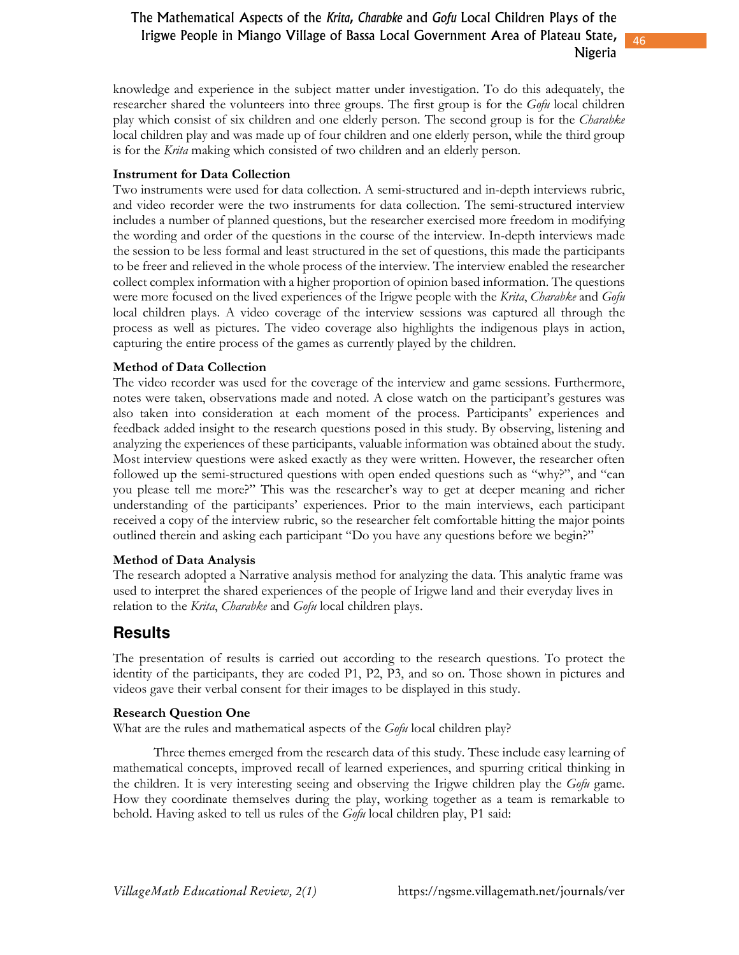46

knowledge and experience in the subject matter under investigation. To do this adequately, the researcher shared the volunteers into three groups. The first group is for the *Gofu* local children play which consist of six children and one elderly person. The second group is for the *Charabke* local children play and was made up of four children and one elderly person, while the third group is for the *Krita* making which consisted of two children and an elderly person.

### **Instrument for Data Collection**

Two instruments were used for data collection. A semi-structured and in-depth interviews rubric, and video recorder were the two instruments for data collection. The semi-structured interview includes a number of planned questions, but the researcher exercised more freedom in modifying the wording and order of the questions in the course of the interview. In-depth interviews made the session to be less formal and least structured in the set of questions, this made the participants to be freer and relieved in the whole process of the interview. The interview enabled the researcher collect complex information with a higher proportion of opinion based information. The questions were more focused on the lived experiences of the Irigwe people with the *Krita*, *Charabke* and *Gofu* local children plays. A video coverage of the interview sessions was captured all through the process as well as pictures. The video coverage also highlights the indigenous plays in action, capturing the entire process of the games as currently played by the children.

### **Method of Data Collection**

The video recorder was used for the coverage of the interview and game sessions. Furthermore, notes were taken, observations made and noted. A close watch on the participant's gestures was also taken into consideration at each moment of the process. Participants' experiences and feedback added insight to the research questions posed in this study. By observing, listening and analyzing the experiences of these participants, valuable information was obtained about the study. Most interview questions were asked exactly as they were written. However, the researcher often followed up the semi-structured questions with open ended questions such as "why?", and "can you please tell me more?" This was the researcher's way to get at deeper meaning and richer understanding of the participants' experiences. Prior to the main interviews, each participant received a copy of the interview rubric, so the researcher felt comfortable hitting the major points outlined therein and asking each participant "Do you have any questions before we begin?"

#### **Method of Data Analysis**

The research adopted a Narrative analysis method for analyzing the data. This analytic frame was used to interpret the shared experiences of the people of Irigwe land and their everyday lives in relation to the *Krita*, *Charabke* and *Gofu* local children plays.

### **Results**

The presentation of results is carried out according to the research questions. To protect the identity of the participants, they are coded P1, P2, P3, and so on. Those shown in pictures and videos gave their verbal consent for their images to be displayed in this study.

### **Research Question One**

What are the rules and mathematical aspects of the *Gofu* local children play?

Three themes emerged from the research data of this study. These include easy learning of mathematical concepts, improved recall of learned experiences, and spurring critical thinking in the children. It is very interesting seeing and observing the Irigwe children play the *Gofu* game. How they coordinate themselves during the play, working together as a team is remarkable to behold. Having asked to tell us rules of the *Gofu* local children play, P1 said: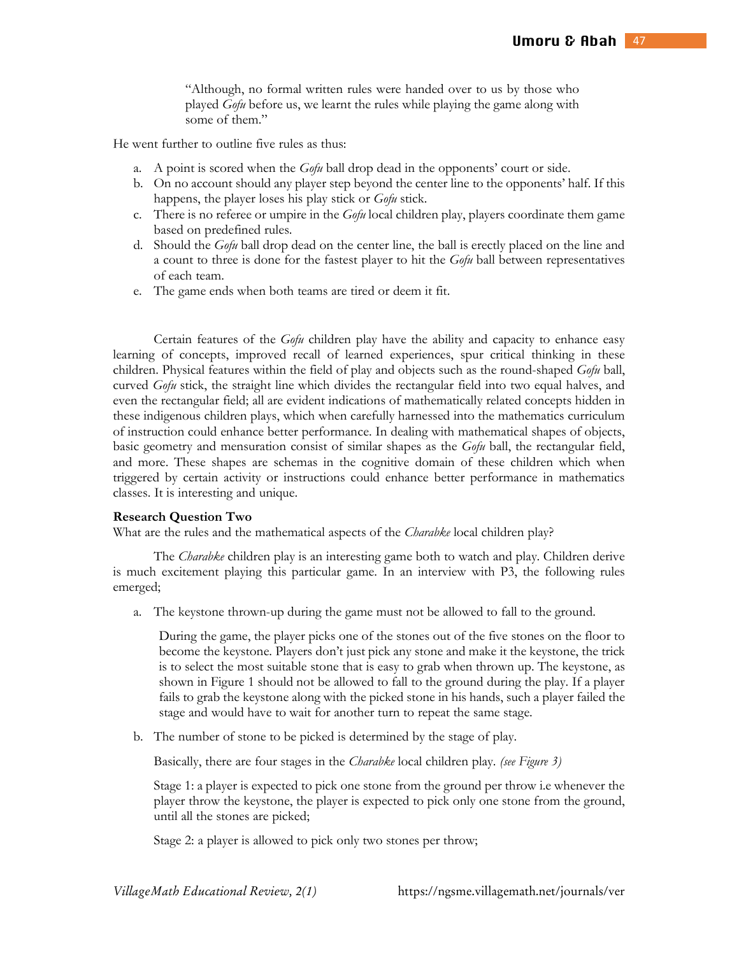"Although, no formal written rules were handed over to us by those who played *Gofu* before us, we learnt the rules while playing the game along with some of them."

He went further to outline five rules as thus:

- a. A point is scored when the *Gofu* ball drop dead in the opponents' court or side.
- b. On no account should any player step beyond the center line to the opponents' half. If this happens, the player loses his play stick or *Gofu* stick.
- c. There is no referee or umpire in the *Gofu* local children play, players coordinate them game based on predefined rules.
- d. Should the *Gofu* ball drop dead on the center line, the ball is erectly placed on the line and a count to three is done for the fastest player to hit the *Gofu* ball between representatives of each team.
- e. The game ends when both teams are tired or deem it fit.

Certain features of the *Gofu* children play have the ability and capacity to enhance easy learning of concepts, improved recall of learned experiences, spur critical thinking in these children. Physical features within the field of play and objects such as the round-shaped *Gofu* ball, curved *Gofu* stick, the straight line which divides the rectangular field into two equal halves, and even the rectangular field; all are evident indications of mathematically related concepts hidden in these indigenous children plays, which when carefully harnessed into the mathematics curriculum of instruction could enhance better performance. In dealing with mathematical shapes of objects, basic geometry and mensuration consist of similar shapes as the *Gofu* ball, the rectangular field, and more. These shapes are schemas in the cognitive domain of these children which when triggered by certain activity or instructions could enhance better performance in mathematics classes. It is interesting and unique.

#### **Research Question Two**

What are the rules and the mathematical aspects of the *Charabke* local children play?

The *Charabke* children play is an interesting game both to watch and play. Children derive is much excitement playing this particular game. In an interview with P3, the following rules emerged;

a. The keystone thrown-up during the game must not be allowed to fall to the ground.

During the game, the player picks one of the stones out of the five stones on the floor to become the keystone. Players don't just pick any stone and make it the keystone, the trick is to select the most suitable stone that is easy to grab when thrown up. The keystone, as shown in Figure 1 should not be allowed to fall to the ground during the play. If a player fails to grab the keystone along with the picked stone in his hands, such a player failed the stage and would have to wait for another turn to repeat the same stage.

b. The number of stone to be picked is determined by the stage of play.

Basically, there are four stages in the *Charabke* local children play. *(see Figure 3)* 

Stage 1: a player is expected to pick one stone from the ground per throw i.e whenever the player throw the keystone, the player is expected to pick only one stone from the ground, until all the stones are picked;

Stage 2: a player is allowed to pick only two stones per throw;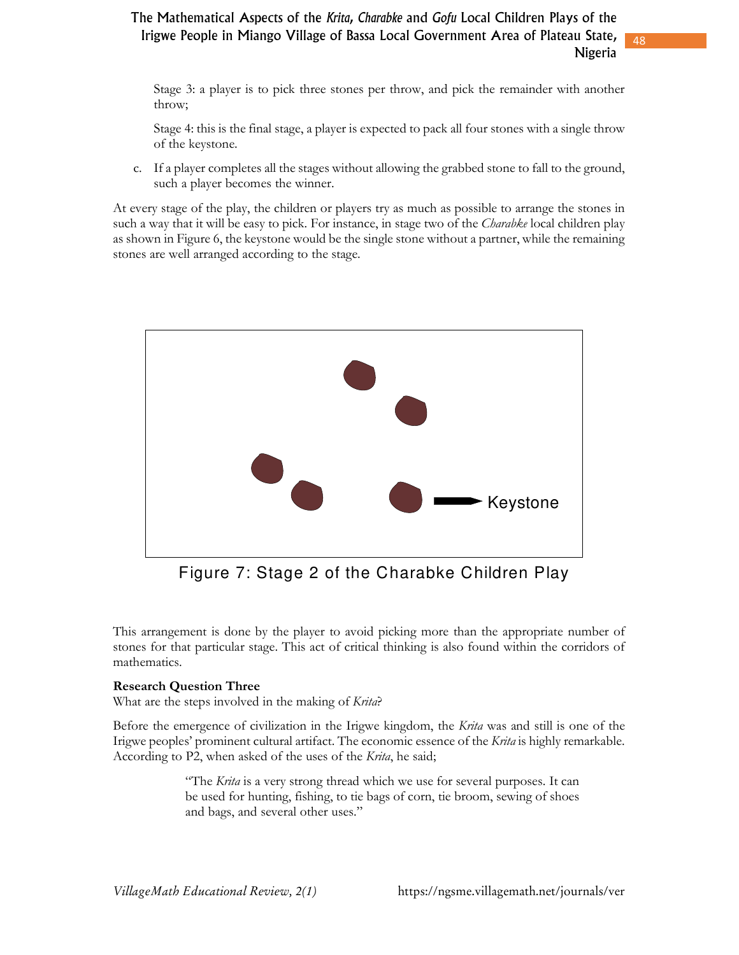Stage 3: a player is to pick three stones per throw, and pick the remainder with another throw;

48

Stage 4: this is the final stage, a player is expected to pack all four stones with a single throw of the keystone.

c. If a player completes all the stages without allowing the grabbed stone to fall to the ground, such a player becomes the winner.

At every stage of the play, the children or players try as much as possible to arrange the stones in such a way that it will be easy to pick. For instance, in stage two of the *Charabke* local children play as shown in Figure 6, the keystone would be the single stone without a partner, while the remaining stones are well arranged according to the stage.



Figure 7: Stage 2 of the Charabke Children Play

This arrangement is done by the player to avoid picking more than the appropriate number of stones for that particular stage. This act of critical thinking is also found within the corridors of mathematics.

### **Research Question Three**

What are the steps involved in the making of *Krita*?

Before the emergence of civilization in the Irigwe kingdom, the *Krita* was and still is one of the Irigwe peoples' prominent cultural artifact. The economic essence of the *Krita* is highly remarkable. According to P2, when asked of the uses of the *Krita*, he said;

> "The *Krita* is a very strong thread which we use for several purposes. It can be used for hunting, fishing, to tie bags of corn, tie broom, sewing of shoes and bags, and several other uses."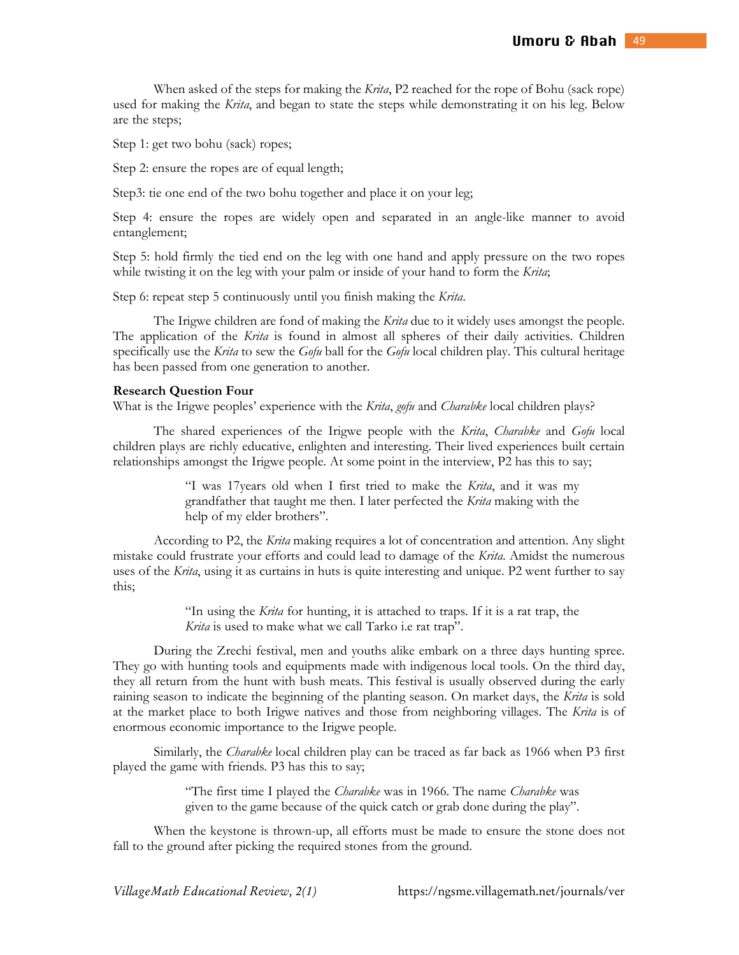When asked of the steps for making the *Krita*, P2 reached for the rope of Bohu (sack rope) used for making the *Krita*, and began to state the steps while demonstrating it on his leg. Below are the steps;

Step 1: get two bohu (sack) ropes;

Step 2: ensure the ropes are of equal length;

Step3: tie one end of the two bohu together and place it on your leg;

Step 4: ensure the ropes are widely open and separated in an angle-like manner to avoid entanglement;

Step 5: hold firmly the tied end on the leg with one hand and apply pressure on the two ropes while twisting it on the leg with your palm or inside of your hand to form the *Krita*;

Step 6: repeat step 5 continuously until you finish making the *Krita*.

The Irigwe children are fond of making the *Krita* due to it widely uses amongst the people. The application of the *Krita* is found in almost all spheres of their daily activities. Children specifically use the *Krita* to sew the *Gofu* ball for the *Gofu* local children play. This cultural heritage has been passed from one generation to another.

#### **Research Question Four**

What is the Irigwe peoples' experience with the *Krita*, *gofu* and *Charabke* local children plays?

The shared experiences of the Irigwe people with the *Krita*, *Charabke* and *Gofu* local children plays are richly educative, enlighten and interesting. Their lived experiences built certain relationships amongst the Irigwe people. At some point in the interview, P2 has this to say;

> "I was 17years old when I first tried to make the *Krita*, and it was my grandfather that taught me then. I later perfected the *Krita* making with the help of my elder brothers".

According to P2, the *Krita* making requires a lot of concentration and attention. Any slight mistake could frustrate your efforts and could lead to damage of the *Krita*. Amidst the numerous uses of the *Krita*, using it as curtains in huts is quite interesting and unique. P2 went further to say this;

> "In using the *Krita* for hunting, it is attached to traps. If it is a rat trap, the *Krita* is used to make what we call Tarko i.e rat trap".

During the Zrechi festival, men and youths alike embark on a three days hunting spree. They go with hunting tools and equipments made with indigenous local tools. On the third day, they all return from the hunt with bush meats. This festival is usually observed during the early raining season to indicate the beginning of the planting season. On market days, the *Krita* is sold at the market place to both Irigwe natives and those from neighboring villages. The *Krita* is of enormous economic importance to the Irigwe people.

Similarly, the *Charabke* local children play can be traced as far back as 1966 when P3 first played the game with friends. P3 has this to say;

> "The first time I played the *Charabke* was in 1966. The name *Charabke* was given to the game because of the quick catch or grab done during the play".

When the keystone is thrown-up, all efforts must be made to ensure the stone does not fall to the ground after picking the required stones from the ground.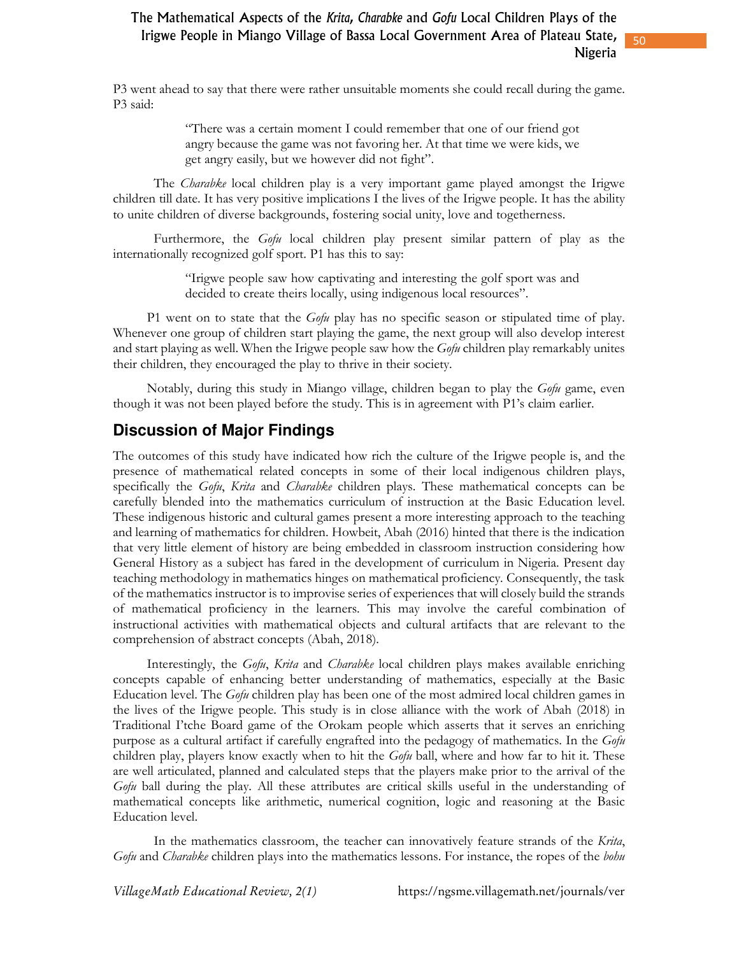50

P3 went ahead to say that there were rather unsuitable moments she could recall during the game. P3 said:

> "There was a certain moment I could remember that one of our friend got angry because the game was not favoring her. At that time we were kids, we get angry easily, but we however did not fight".

The *Charabke* local children play is a very important game played amongst the Irigwe children till date. It has very positive implications I the lives of the Irigwe people. It has the ability to unite children of diverse backgrounds, fostering social unity, love and togetherness.

Furthermore, the *Gofu* local children play present similar pattern of play as the internationally recognized golf sport. P1 has this to say:

> "Irigwe people saw how captivating and interesting the golf sport was and decided to create theirs locally, using indigenous local resources".

P1 went on to state that the *Gofu* play has no specific season or stipulated time of play. Whenever one group of children start playing the game, the next group will also develop interest and start playing as well. When the Irigwe people saw how the *Gofu* children play remarkably unites their children, they encouraged the play to thrive in their society.

Notably, during this study in Miango village, children began to play the *Gofu* game, even though it was not been played before the study. This is in agreement with P1's claim earlier.

## **Discussion of Major Findings**

The outcomes of this study have indicated how rich the culture of the Irigwe people is, and the presence of mathematical related concepts in some of their local indigenous children plays, specifically the *Gofu*, *Krita* and *Charabke* children plays. These mathematical concepts can be carefully blended into the mathematics curriculum of instruction at the Basic Education level. These indigenous historic and cultural games present a more interesting approach to the teaching and learning of mathematics for children. Howbeit, Abah (2016) hinted that there is the indication that very little element of history are being embedded in classroom instruction considering how General History as a subject has fared in the development of curriculum in Nigeria. Present day teaching methodology in mathematics hinges on mathematical proficiency. Consequently, the task of the mathematics instructor is to improvise series of experiences that will closely build the strands of mathematical proficiency in the learners. This may involve the careful combination of instructional activities with mathematical objects and cultural artifacts that are relevant to the comprehension of abstract concepts (Abah, 2018).

Interestingly, the *Gofu*, *Krita* and *Charabke* local children plays makes available enriching concepts capable of enhancing better understanding of mathematics, especially at the Basic Education level. The *Gofu* children play has been one of the most admired local children games in the lives of the Irigwe people. This study is in close alliance with the work of Abah (2018) in Traditional I'tche Board game of the Orokam people which asserts that it serves an enriching purpose as a cultural artifact if carefully engrafted into the pedagogy of mathematics. In the *Gofu* children play, players know exactly when to hit the *Gofu* ball, where and how far to hit it. These are well articulated, planned and calculated steps that the players make prior to the arrival of the *Gofu* ball during the play. All these attributes are critical skills useful in the understanding of mathematical concepts like arithmetic, numerical cognition, logic and reasoning at the Basic Education level.

 In the mathematics classroom, the teacher can innovatively feature strands of the *Krita*, *Gofu* and *Charabke* children plays into the mathematics lessons. For instance, the ropes of the *bohu*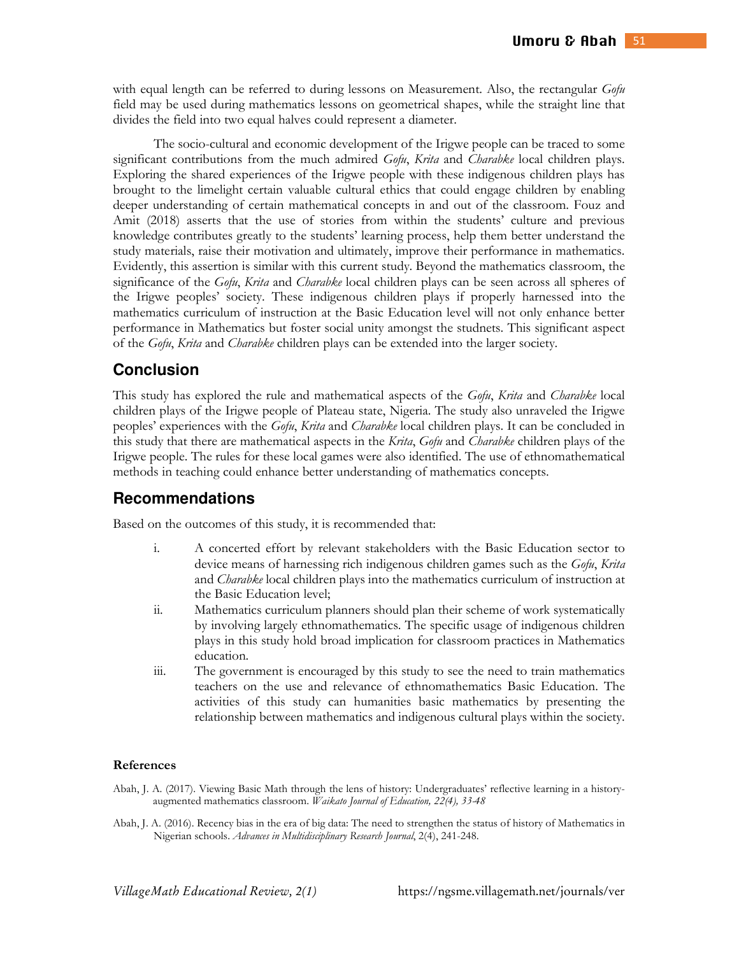with equal length can be referred to during lessons on Measurement. Also, the rectangular *Gofu* field may be used during mathematics lessons on geometrical shapes, while the straight line that divides the field into two equal halves could represent a diameter.

The socio-cultural and economic development of the Irigwe people can be traced to some significant contributions from the much admired *Gofu*, *Krita* and *Charabke* local children plays. Exploring the shared experiences of the Irigwe people with these indigenous children plays has brought to the limelight certain valuable cultural ethics that could engage children by enabling deeper understanding of certain mathematical concepts in and out of the classroom. Fouz and Amit (2018) asserts that the use of stories from within the students' culture and previous knowledge contributes greatly to the students' learning process, help them better understand the study materials, raise their motivation and ultimately, improve their performance in mathematics. Evidently, this assertion is similar with this current study. Beyond the mathematics classroom, the significance of the *Gofu*, *Krita* and *Charabke* local children plays can be seen across all spheres of the Irigwe peoples' society. These indigenous children plays if properly harnessed into the mathematics curriculum of instruction at the Basic Education level will not only enhance better performance in Mathematics but foster social unity amongst the studnets. This significant aspect of the *Gofu*, *Krita* and *Charabke* children plays can be extended into the larger society.

### **Conclusion**

This study has explored the rule and mathematical aspects of the *Gofu*, *Krita* and *Charabke* local children plays of the Irigwe people of Plateau state, Nigeria. The study also unraveled the Irigwe peoples' experiences with the *Gofu*, *Krita* and *Charabke* local children plays. It can be concluded in this study that there are mathematical aspects in the *Krita*, *Gofu* and *Charabke* children plays of the Irigwe people. The rules for these local games were also identified. The use of ethnomathematical methods in teaching could enhance better understanding of mathematics concepts.

### **Recommendations**

Based on the outcomes of this study, it is recommended that:

- i. A concerted effort by relevant stakeholders with the Basic Education sector to device means of harnessing rich indigenous children games such as the *Gofu*, *Krita* and *Charabke* local children plays into the mathematics curriculum of instruction at the Basic Education level;
- ii. Mathematics curriculum planners should plan their scheme of work systematically by involving largely ethnomathematics. The specific usage of indigenous children plays in this study hold broad implication for classroom practices in Mathematics education.
- iii. The government is encouraged by this study to see the need to train mathematics teachers on the use and relevance of ethnomathematics Basic Education. The activities of this study can humanities basic mathematics by presenting the relationship between mathematics and indigenous cultural plays within the society.

#### **References**

- Abah, J. A. (2017). Viewing Basic Math through the lens of history: Undergraduates' reflective learning in a historyaugmented mathematics classroom. *Waikato Journal of Education, 22(4), 33-48*
- Abah, J. A. (2016). Recency bias in the era of big data: The need to strengthen the status of history of Mathematics in Nigerian schools. *Advances in Multidisciplinary Research Journal*, 2(4), 241-248.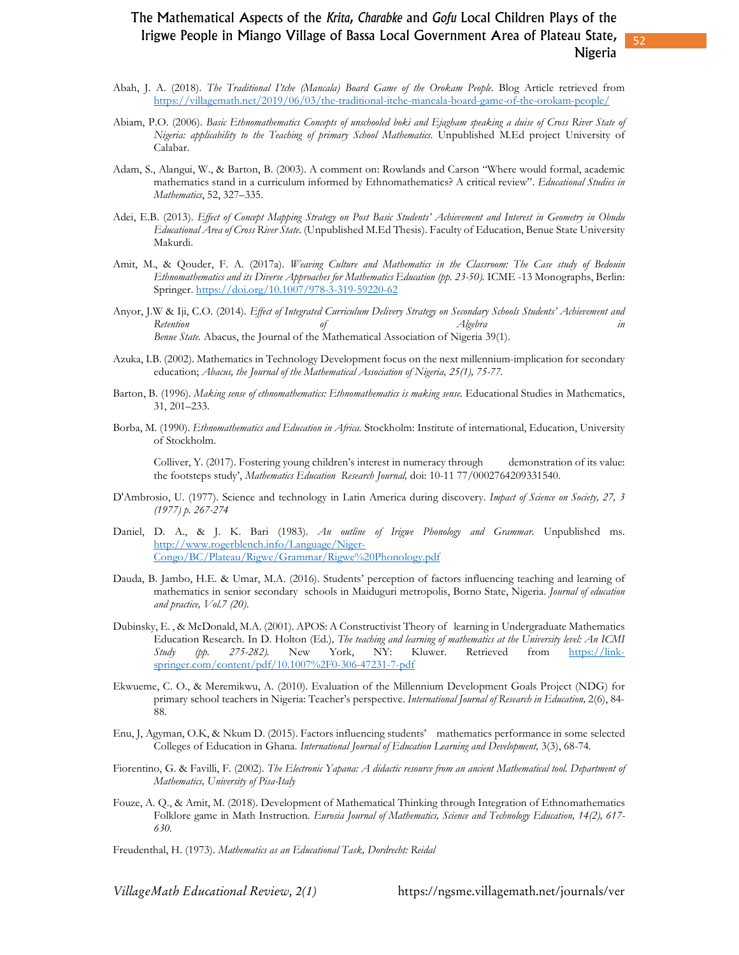52

- Abah, J. A. (2018). *The Traditional I'tche (Mancala) Board Game of the Orokam People*. Blog Article retrieved from https://villagemath.net/2019/06/03/the-traditional-itche-mancala-board-game-of-the-orokam-people/
- Abiam, P.O. (2006). *Basic Ethnomathematics Concepts of unschooled boki and Ejagham speaking a duise of Cross River State of Nigeria: applicability to the Teaching of primary School Mathematics*. Unpublished M.Ed project University of Calabar.
- Adam, S., Alangui, W., & Barton, B. (2003). A comment on: Rowlands and Carson "Where would formal, academic mathematics stand in a curriculum informed by Ethnomathematics? A critical review". *Educational Studies in Mathematics*, 52, 327–335.
- Adei, E.B. (2013). *Effect of Concept Mapping Strategy on Post Basic Students' Achievement and Interest in Geometry in Obudu Educational Area of Cross River State*. (Unpublished M.Ed Thesis). Faculty of Education, Benue State University Makurdi.
- Amit, M., & Qouder, F. A. (2017a). *Weaving Culture and Mathematics in the Classroom: The Case study of Bedouin Ethnomathematics and its Diverse Approaches for Mathematics Education (pp. 23-50).* ICME -13 Monographs, Berlin: Springer. https://doi.org/10.1007/978-3-319-59220-62
- Anyor, J.W & Iji, C.O. (2014). *Effect of Integrated Curriculum Delivery Strategy on Secondary Schools Students' Achievement and Retention of Algebra in Benue State.* Abacus, the Journal of the Mathematical Association of Nigeria 39(1).
- Azuka, I.B. (2002). Mathematics in Technology Development focus on the next millennium-implication for secondary education; *Abacus, the Journal of the Mathematical Association of Nigeria, 25(1), 75-77.*
- Barton, B. (1996). *Making sense of ethnomathematics: Ethnomathematics is making sense*. Educational Studies in Mathematics, 31, 201–233.
- Borba, M. (1990). *Ethnomathematics and Education in Africa.* Stockholm: Institute of international, Education, University of Stockholm.

Colliver, Y. (2017). Fostering young children's interest in numeracy through demonstration of its value: the footsteps study', *Mathematics Education Research Journal,* doi: 10-11 77/0002764209331540.

- D'Ambrosio, U. (1977). Science and technology in Latin America during discovery. *Impact of Science on Society, 27, 3 (1977) p. 267-274*
- Daniel, D. A., & J. K. Bari (1983). *An outline of Irigwe Phonology and Grammar.* Unpublished ms. http://www.rogerblench.info/Language/Niger-Congo/BC/Plateau/Rigwe/Grammar/Rigwe%20Phonology.pdf
- Dauda, B. Jambo, H.E. & Umar, M.A. (2016). Students' perception of factors influencing teaching and learning of mathematics in senior secondary schools in Maiduguri metropolis, Borno State, Nigeria. *Journal of education and practice, Vol.7 (20)*.
- Dubinsky, E. , & McDonald, M.A. (2001). APOS: A Constructivist Theory of learning in Undergraduate Mathematics Education Research. In D. Holton (Ed.)*, The teaching and learning of mathematics at the University level: An ICMI Study (pp. 275-282).* New York, NY: Kluwer. Retrieved from https://linkspringer.com/content/pdf/10.1007%2F0-306-47231-7-pdf
- Ekwueme, C. O., & Meremikwu, A. (2010). Evaluation of the Millennium Development Goals Project (NDG) for primary school teachers in Nigeria: Teacher's perspective. *International Journal of Research in Education,* 2(6), 84- 88.
- Enu, J, Agyman, O.K, & Nkum D. (2015). Factors influencing students' mathematics performance in some selected Colleges of Education in Ghana. *International Journal of Education Learning and Development,* 3(3), 68-74*.*
- Fiorentino, G. & Favilli, F. (2002). *The Electronic Yapana: A didactic resource from an ancient Mathematical tool. Department of Mathematics, University of Pisa-Italy*
- Fouze, A. Q., & Amit, M. (2018). Development of Mathematical Thinking through Integration of Ethnomathematics Folklore game in Math Instruction*. Eurosia Journal of Mathematics, Science and Technology Education, 14(2), 617- 630.*

Freudenthal, H. (1973). *Mathematics as an Educational Task, Dordrecht: Reidal*